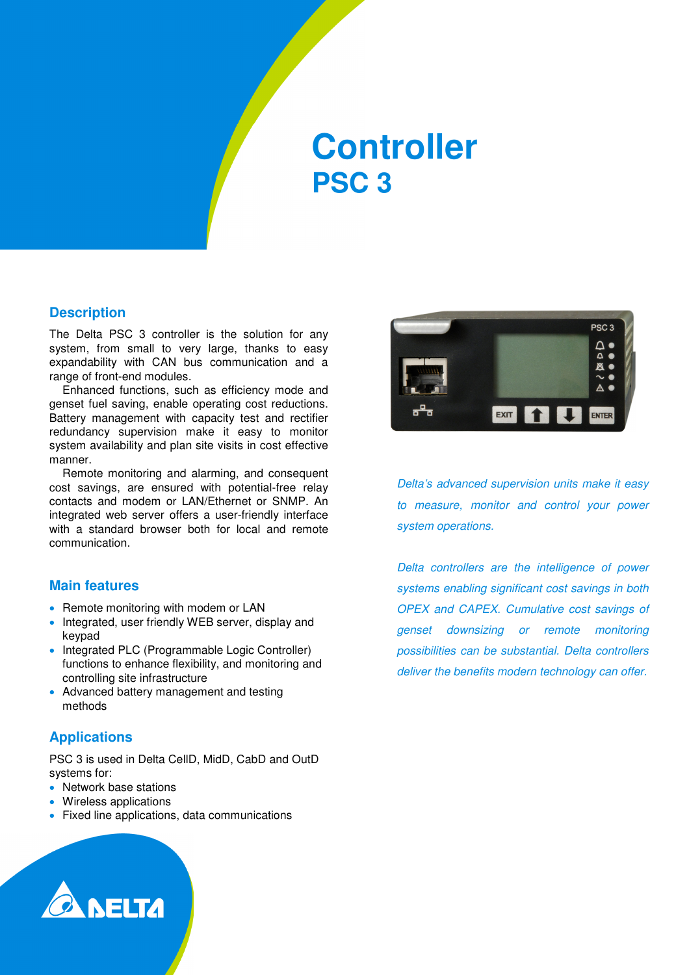## **Controller PSC 3**

#### **Description**

The Delta PSC 3 controller is the solution for any system, from small to very large, thanks to easy expandability with CAN bus communication and a range of front-end modules.

Enhanced functions, such as efficiency mode and genset fuel saving, enable operating cost reductions. Battery management with capacity test and rectifier redundancy supervision make it easy to monitor system availability and plan site visits in cost effective manner.

Remote monitoring and alarming, and consequent cost savings, are ensured with potential-free relay contacts and modem or LAN/Ethernet or SNMP. An integrated web server offers a user-friendly interface with a standard browser both for local and remote communication.

#### **Main features**

- Remote monitoring with modem or LAN
- Integrated, user friendly WEB server, display and keypad
- Integrated PLC (Programmable Logic Controller) functions to enhance flexibility, and monitoring and controlling site infrastructure
- Advanced battery management and testing methods

#### **Applications**

PSC 3 is used in Delta CellD, MidD, CabD and OutD systems for:

- Network base stations
- Wireless applications
- Fixed line applications, data communications



Delta's advanced supervision units make it easy to measure, monitor and control your power system operations.

Delta controllers are the intelligence of power systems enabling significant cost savings in both OPEX and CAPEX. Cumulative cost savings of genset downsizing or remote monitoring possibilities can be substantial. Delta controllers deliver the benefits modern technology can offer.